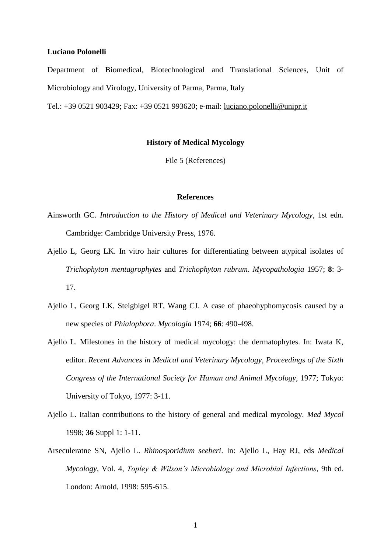## **Luciano Polonelli**

Department of Biomedical, Biotechnological and Translational Sciences, Unit of Microbiology and Virology, University of Parma, Parma, Italy

Tel.: +39 0521 903429; Fax: +39 0521 993620; e-mail: [luciano.polonelli@unipr.it](mailto:luciano.polonelli@unipr.it)

## **History of Medical Mycology**

File 5 (References)

## **References**

- Ainsworth GC. *Introduction to the History of Medical and Veterinary Mycology*, 1st edn. Cambridge: Cambridge University Press, 1976.
- Ajello L, Georg LK. In vitro hair cultures for differentiating between atypical isolates of *Trichophyton mentagrophytes* and *Trichophyton rubrum*. *Mycopathologia* 1957; **8**: 3- 17.
- Ajello L, Georg LK, Steigbigel RT, Wang CJ. A case of phaeohyphomycosis caused by a new species of *Phialophora*. *Mycologia* 1974; **66**: 490-498.
- Ajello L. Milestones in the history of medical mycology: the dermatophytes. In: Iwata K, editor. *Recent Advances in Medical and Veterinary Mycology, Proceedings of the Sixth Congress of the International Society for Human and Animal Mycology*, 1977; Tokyo: University of Tokyo, 1977: 3-11.
- Ajello L. Italian contributions to the history of general and medical mycology. *Med Mycol* 1998; **36** Suppl 1: 1-11.
- Arseculeratne SN, Ajello L. *Rhinosporidium seeberi*. In: Ajello L, Hay RJ, eds *Medical Mycology,* Vol. 4, *Topley & Wilson's Microbiology and Microbial Infections*, 9th ed. London: Arnold, 1998: 595-615.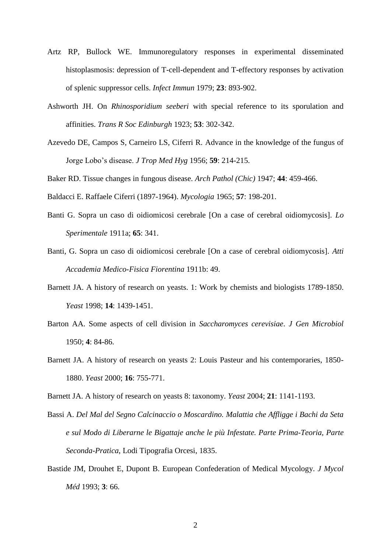- Artz RP, Bullock WE. Immunoregulatory responses in experimental disseminated histoplasmosis: depression of T-cell-dependent and T-effectory responses by activation of splenic suppressor cells. *Infect Immun* 1979; **23**: 893-902.
- Ashworth JH. On *Rhinosporidium seeberi* with special reference to its sporulation and affinities. *Trans R Soc Edinburgh* 1923; **53**: 302-342.
- Azevedo DE, Campos S, Carneiro LS, Ciferri R. Advance in the knowledge of the fungus of Jorge Lobo's disease. *J Trop Med Hyg* 1956; **59**: 214-215.
- Baker RD. Tissue changes in fungous disease. *Arch Pathol (Chic)* 1947; **44**: 459-466.
- Baldacci E. Raffaele Ciferri (1897-1964). *Mycologia* 1965; **57**: 198-201.
- Banti G. Sopra un caso di oidiomicosi cerebrale [On a case of cerebral oidiomycosis]. *Lo Sperimentale* 1911a; **65**: 341.
- Banti, G. Sopra un caso di oidiomicosi cerebrale [On a case of cerebral oidiomycosis]. *Atti Accademia Medico-Fisica Fiorentina* 1911b: 49.
- Barnett JA. A history of research on yeasts. 1: Work by chemists and biologists 1789-1850. *Yeast* 1998; **14**: 1439-1451.
- Barton AA. Some aspects of cell division in *Saccharomyces cerevisiae*. *J Gen Microbiol* 1950; **4**: 84-86.
- Barnett JA. A history of research on yeasts 2: Louis Pasteur and his contemporaries, 1850- 1880. *Yeast* 2000; **16**: 755-771.

Barnett JA. A history of research on yeasts 8: taxonomy. *Yeast* 2004; **21**: 1141-1193.

- Bassi A. *Del Mal del Segno Calcinaccio o Moscardino. Malattia che Affligge i Bachi da Seta e sul Modo di Liberarne le Bigattaje anche le più Infestate. Parte Prima-Teoria, Parte Seconda-Pratica*, Lodi Tipografia Orcesi, 1835.
- Bastide JM, Drouhet E, Dupont B. European Confederation of Medical Mycology. *J Mycol Méd* 1993; **3**: 66.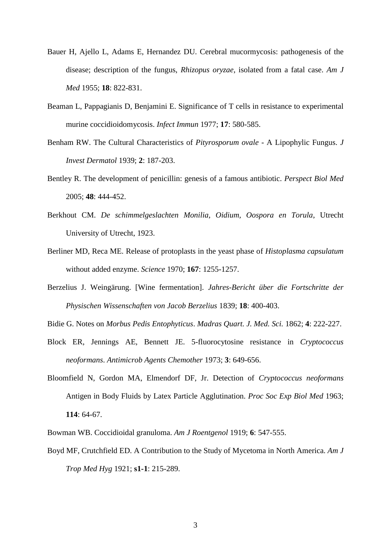- Bauer H, Ajello L, Adams E, Hernandez DU. Cerebral mucormycosis: pathogenesis of the disease; description of the fungus, *Rhizopus oryzae*, isolated from a fatal case. *Am J Med* 1955; **18**: 822-831.
- Beaman L, Pappagianis D, Benjamini E. Significance of T cells in resistance to experimental murine coccidioidomycosis. *Infect Immun* 1977; **17**: 580-585.
- Benham RW. The Cultural Characteristics of *Pityrosporum ovale* A Lipophylic Fungus. *J Invest Dermatol* 1939; **2**: 187-203.
- Bentley R. The development of penicillin: genesis of a famous antibiotic. *Perspect Biol Med* 2005; **48**: 444-452.
- Berkhout CM. *De schimmelgeslachten Monilia, Oidium, Oospora en Torula*, Utrecht University of Utrecht, 1923.
- Berliner MD, Reca ME. Release of protoplasts in the yeast phase of *Histoplasma capsulatum* without added enzyme. *Science* 1970; **167**: 1255-1257.
- Berzelius J. Weingärung. [Wine fermentation]. *Jahres-Bericht über die Fortschritte der Physischen Wissenschaften von Jacob Berzelius* 1839; **18**: 400-403.
- Bidie G. Notes on *Morbus Pedis Entophyticus*. *Madras Quart. J. Med. Sci.* 1862; **4**: 222-227.
- Block ER, Jennings AE, Bennett JE. 5-fluorocytosine resistance in *Cryptococcus neoformans*. *Antimicrob Agents Chemother* 1973; **3**: 649-656.
- Bloomfield N, Gordon MA, Elmendorf DF, Jr. Detection of *Cryptococcus neoformans*  Antigen in Body Fluids by Latex Particle Agglutination. *Proc Soc Exp Biol Med* 1963; **114**: 64-67.

Bowman WB. Coccidioidal granuloma. *Am J Roentgenol* 1919; **6**: 547-555.

Boyd MF, Crutchfield ED. A Contribution to the Study of Mycetoma in North America. *Am J Trop Med Hyg* 1921; **s1-1**: 215-289.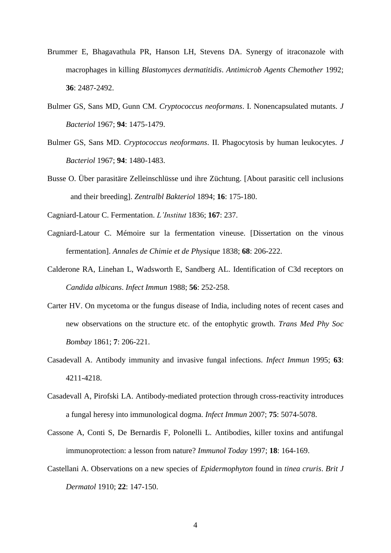- Brummer E, Bhagavathula PR, Hanson LH, Stevens DA. Synergy of itraconazole with macrophages in killing *Blastomyces dermatitidis*. *Antimicrob Agents Chemother* 1992; **36**: 2487-2492.
- Bulmer GS, Sans MD, Gunn CM. *Cryptococcus neoformans*. I. Nonencapsulated mutants. *J Bacteriol* 1967; **94**: 1475-1479.
- Bulmer GS, Sans MD. *Cryptococcus neoformans*. II. Phagocytosis by human leukocytes. *J Bacteriol* 1967; **94**: 1480-1483.
- Busse O. Über parasitäre Zelleinschlüsse und ihre Züchtung. [About parasitic cell inclusions and their breeding]. *Zentralbl Bakteriol* 1894; **16**: 175-180.

Cagniard-Latour C. Fermentation. *L'Institut* 1836; **167**: 237.

- Cagniard-Latour C. Mémoire sur la fermentation vineuse. [Dissertation on the vinous fermentation]. *Annales de Chimie et de Physique* 1838; **68**: 206-222.
- Calderone RA, Linehan L, Wadsworth E, Sandberg AL. Identification of C3d receptors on *Candida albicans*. *Infect Immun* 1988; **56**: 252-258.
- Carter HV. On mycetoma or the fungus disease of India, including notes of recent cases and new observations on the structure etc. of the entophytic growth. *Trans Med Phy Soc Bombay* 1861; **7**: 206-221.
- Casadevall A. Antibody immunity and invasive fungal infections. *Infect Immun* 1995; **63**: 4211-4218.
- Casadevall A, Pirofski LA. Antibody-mediated protection through cross-reactivity introduces a fungal heresy into immunological dogma. *Infect Immun* 2007; **75**: 5074-5078.
- Cassone A, Conti S, De Bernardis F, Polonelli L. Antibodies, killer toxins and antifungal immunoprotection: a lesson from nature? *Immunol Today* 1997; **18**: 164-169.
- Castellani A. Observations on a new species of *Epidermophyton* found in *tinea cruris*. *Brit J Dermatol* 1910; **22**: 147-150.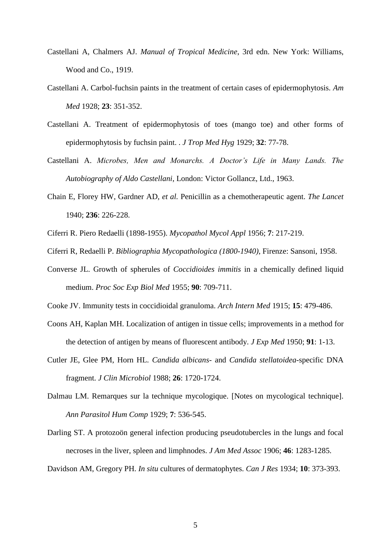- Castellani A, Chalmers AJ. *Manual of Tropical Medicine*, 3rd edn. New York: Williams, Wood and Co., 1919.
- Castellani A. Carbol-fuchsin paints in the treatment of certain cases of epidermophytosis. *Am Med* 1928; **23**: 351-352.
- Castellani A. Treatment of epidermophytosis of toes (mango toe) and other forms of epidermophytosis by fuchsin paint. . *J Trop Med Hyg* 1929; **32**: 77-78.
- Castellani A. *Microbes, Men and Monarchs. A Doctor's Life in Many Lands. The Autobiography of Aldo Castellani*, London: Victor Gollancz, Ltd., 1963.
- Chain E, Florey HW, Gardner AD*, et al.* Penicillin as a chemotherapeutic agent. *The Lancet* 1940; **236**: 226-228.
- Ciferri R. Piero Redaelli (1898-1955). *Mycopathol Mycol Appl* 1956; **7**: 217-219.
- Ciferri R, Redaelli P. *Bibliographia Mycopathologica (1800-1940)*, Firenze: Sansoni, 1958.
- Converse JL. Growth of spherules of *Coccidioides immitis* in a chemically defined liquid medium. *Proc Soc Exp Biol Med* 1955; **90**: 709-711.
- Cooke JV. Immunity tests in coccidioidal granuloma. *Arch Intern Med* 1915; **15**: 479-486.
- Coons AH, Kaplan MH. Localization of antigen in tissue cells; improvements in a method for the detection of antigen by means of fluorescent antibody. *J Exp Med* 1950; **91**: 1-13.
- Cutler JE, Glee PM, Horn HL. *Candida albicans* and *Candida stellatoidea*-specific DNA fragment. *J Clin Microbiol* 1988; **26**: 1720-1724.
- Dalmau LM. Remarques sur la technique mycologique. [Notes on mycological technique]. *Ann Parasitol Hum Comp* 1929; **7**: 536-545.
- Darling ST. A protozoön general infection producing pseudotubercles in the lungs and focal necroses in the liver, spleen and limphnodes. *J Am Med Assoc* 1906; **46**: 1283-1285.

Davidson AM, Gregory PH. *In situ* cultures of dermatophytes. *Can J Res* 1934; **10**: 373-393.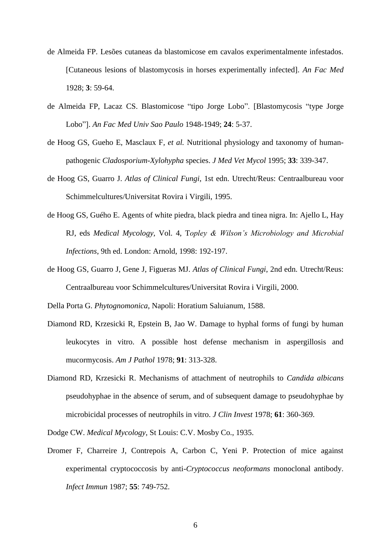- de Almeida FP. Lesões cutaneas da blastomicose em cavalos experimentalmente infestados. [Cutaneous lesions of blastomycosis in horses experimentally infected]. *An Fac Med* 1928; **3**: 59-64.
- de Almeida FP, Lacaz CS. Blastomicose "tipo Jorge Lobo". [Blastomycosis "type Jorge Lobo"]. *An Fac Med Univ Sao Paulo* 1948-1949; **24**: 5-37.
- de Hoog GS, Gueho E, Masclaux F*, et al.* Nutritional physiology and taxonomy of humanpathogenic *Cladosporium*-*Xylohypha* species. *J Med Vet Mycol* 1995; **33**: 339-347.
- de Hoog GS, Guarro J. *Atlas of Clinical Fungi*, 1st edn. Utrecht/Reus: Centraalbureau voor Schimmelcultures/Universitat Rovira i Virgili, 1995.
- de Hoog GS, Guého E. Agents of white piedra, black piedra and tinea nigra. In: Ajello L, Hay RJ, eds *Medical Mycology,* Vol. 4, T*opley & Wilson's Microbiology and Microbial Infections*, 9th ed. London: Arnold, 1998: 192-197.
- de Hoog GS, Guarro J, Gene J, Figueras MJ. *Atlas of Clinical Fungi*, 2nd edn. Utrecht/Reus: Centraalbureau voor Schimmelcultures/Universitat Rovira i Virgili, 2000.

Della Porta G. *Phytognomonica*, Napoli: Horatium Saluianum, 1588.

- Diamond RD, Krzesicki R, Epstein B, Jao W. Damage to hyphal forms of fungi by human leukocytes in vitro. A possible host defense mechanism in aspergillosis and mucormycosis. *Am J Pathol* 1978; **91**: 313-328.
- Diamond RD, Krzesicki R. Mechanisms of attachment of neutrophils to *Candida albicans* pseudohyphae in the absence of serum, and of subsequent damage to pseudohyphae by microbicidal processes of neutrophils in vitro. *J Clin Invest* 1978; **61**: 360-369.
- Dodge CW. *Medical Mycology*, St Louis: C.V. Mosby Co., 1935.
- Dromer F, Charreire J, Contrepois A, Carbon C, Yeni P. Protection of mice against experimental cryptococcosis by anti-*Cryptococcus neoformans* monoclonal antibody. *Infect Immun* 1987; **55**: 749-752.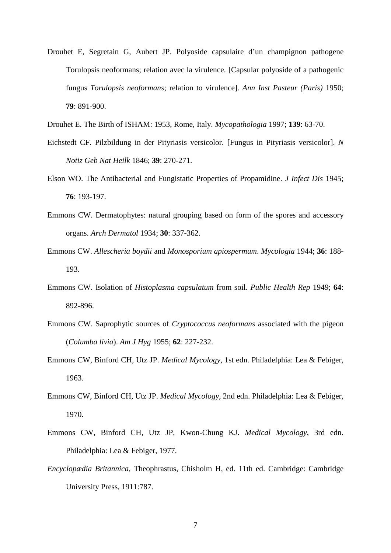- Drouhet E, Segretain G, Aubert JP. Polyoside capsulaire d'un champignon pathogene Torulopsis neoformans; relation avec la virulence. [Capsular polyoside of a pathogenic fungus *Torulopsis neoformans*; relation to virulence]. *Ann Inst Pasteur (Paris)* 1950; **79**: 891-900.
- Drouhet E. The Birth of ISHAM: 1953, Rome, Italy. *Mycopathologia* 1997; **139**: 63-70.
- Eichstedt CF. Pilzbildung in der Pityriasis versicolor. [Fungus in Pityriasis versicolor]. *N Notiz Geb Nat Heilk* 1846; **39**: 270-271.
- Elson WO. The Antibacterial and Fungistatic Properties of Propamidine. *J Infect Dis* 1945; **76**: 193-197.
- Emmons CW. Dermatophytes: natural grouping based on form of the spores and accessory organs. *Arch Dermatol* 1934; **30**: 337-362.
- Emmons CW. *Allescheria boydii* and *Monosporium apiospermum*. *Mycologia* 1944; **36**: 188- 193.
- Emmons CW. Isolation of *Histoplasma capsulatum* from soil. *Public Health Rep* 1949; **64**: 892-896.
- Emmons CW. Saprophytic sources of *Cryptococcus neoformans* associated with the pigeon (*Columba livia*). *Am J Hyg* 1955; **62**: 227-232.
- Emmons CW, Binford CH, Utz JP. *Medical Mycology*, 1st edn. Philadelphia: Lea & Febiger, 1963.
- Emmons CW, Binford CH, Utz JP. *Medical Mycology*, 2nd edn. Philadelphia: Lea & Febiger, 1970.
- Emmons CW, Binford CH, Utz JP, Kwon-Chung KJ. *Medical Mycology*, 3rd edn. Philadelphia: Lea & Febiger, 1977.
- *Encyclopædia Britannica,* Theophrastus, Chisholm H, ed. 11th ed. Cambridge: Cambridge University Press, 1911:787.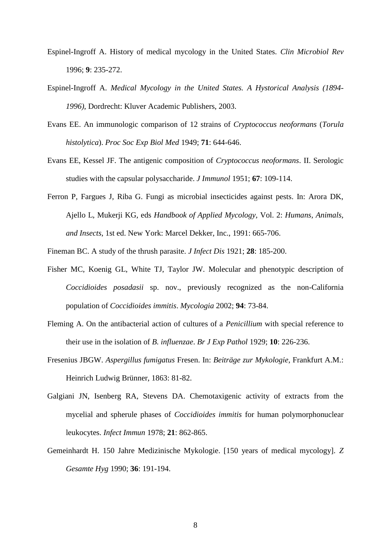- Espinel-Ingroff A. History of medical mycology in the United States. *Clin Microbiol Rev* 1996; **9**: 235-272.
- Espinel-Ingroff A. *Medical Mycology in the United States. A Hystorical Analysis (1894- 1996)*, Dordrecht: Kluver Academic Publishers, 2003.
- Evans EE. An immunologic comparison of 12 strains of *Cryptococcus neoformans* (*Torula histolytica*). *Proc Soc Exp Biol Med* 1949; **71**: 644-646.
- Evans EE, Kessel JF. The antigenic composition of *Cryptococcus neoformans*. II. Serologic studies with the capsular polysaccharide. *J Immunol* 1951; **67**: 109-114.
- Ferron P, Fargues J, Riba G. Fungi as microbial insecticides against pests. In: Arora DK, Ajello L, Mukerji KG, eds *Handbook of Applied Mycology,* Vol. 2: *Humans, Animals, and Insects*, 1st ed. New York: Marcel Dekker, Inc., 1991: 665-706.
- Fineman BC. A study of the thrush parasite. *J Infect Dis* 1921; **28**: 185-200.
- Fisher MC, Koenig GL, White TJ, Taylor JW. Molecular and phenotypic description of *Coccidioides posadasii* sp. nov., previously recognized as the non-California population of *Coccidioides immitis*. *Mycologia* 2002; **94**: 73-84.
- Fleming A. On the antibacterial action of cultures of a *Penicillium* with special reference to their use in the isolation of *B. influenzae*. *Br J Exp Pathol* 1929; **10**: 226-236.
- Fresenius JBGW. *Aspergillus fumigatus* Fresen. In: *Beiträge zur Mykologie*, Frankfurt A.M.: Heinrich Ludwig Brünner, 1863: 81-82.
- Galgiani JN, Isenberg RA, Stevens DA. Chemotaxigenic activity of extracts from the mycelial and spherule phases of *Coccidioides immitis* for human polymorphonuclear leukocytes. *Infect Immun* 1978; **21**: 862-865.
- Gemeinhardt H. 150 Jahre Medizinische Mykologie. [150 years of medical mycology]. *Z Gesamte Hyg* 1990; **36**: 191-194.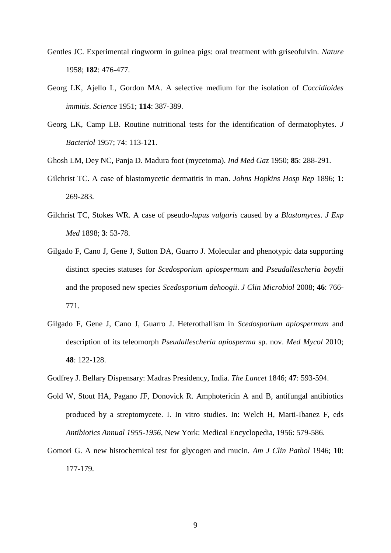- Gentles JC. Experimental ringworm in guinea pigs: oral treatment with griseofulvin. *Nature* 1958; **182**: 476-477.
- Georg LK, Ajello L, Gordon MA. A selective medium for the isolation of *Coccidioides immitis*. *Science* 1951; **114**: 387-389.
- Georg LK, Camp LB. Routine nutritional tests for the identification of dermatophytes. *J Bacteriol* 1957; 74: 113-121.
- Ghosh LM, Dey NC, Panja D. Madura foot (mycetoma). *Ind Med Gaz* 1950; **85**: 288-291.
- Gilchrist TC. A case of blastomycetic dermatitis in man. *Johns Hopkins Hosp Rep* 1896; **1**: 269-283.
- Gilchrist TC, Stokes WR. A case of pseudo-*lupus vulgaris* caused by a *Blastomyces*. *J Exp Med* 1898; **3**: 53-78.
- Gilgado F, Cano J, Gene J, Sutton DA, Guarro J. Molecular and phenotypic data supporting distinct species statuses for *Scedosporium apiospermum* and *Pseudallescheria boydii* and the proposed new species *Scedosporium dehoogii*. *J Clin Microbiol* 2008; **46**: 766- 771.
- Gilgado F, Gene J, Cano J, Guarro J. Heterothallism in *Scedosporium apiospermum* and description of its teleomorph *Pseudallescheria apiosperma* sp. nov. *Med Mycol* 2010; **48**: 122-128.
- Godfrey J. Bellary Dispensary: Madras Presidency, India. *The Lancet* 1846; **47**: 593-594.
- Gold W, Stout HA, Pagano JF, Donovick R. Amphotericin A and B, antifungal antibiotics produced by a streptomycete. I. In vitro studies. In: Welch H, Marti-Ibanez F, eds *Antibiotics Annual 1955-1956*, New York: Medical Encyclopedia, 1956: 579-586.
- Gomori G. A new histochemical test for glycogen and mucin. *Am J Clin Pathol* 1946; **10**: 177-179.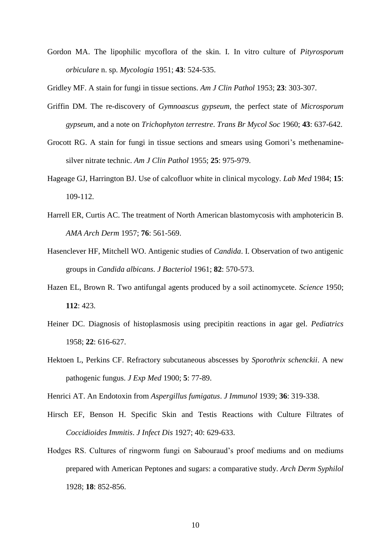Gordon MA. The lipophilic mycoflora of the skin. I. In vitro culture of *Pityrosporum orbiculare* n. sp. *Mycologia* 1951; **43**: 524-535.

Gridley MF. A stain for fungi in tissue sections. *Am J Clin Pathol* 1953; **23**: 303-307.

- Griffin DM. The re-discovery of *Gymnoascus gypseum*, the perfect state of *Microsporum gypseum*, and a note on *Trichophyton terrestre*. *Trans Br Mycol Soc* 1960; **43**: 637-642.
- Grocott RG. A stain for fungi in tissue sections and smears using Gomori's methenaminesilver nitrate technic. *Am J Clin Pathol* 1955; **25**: 975-979.
- Hageage GJ, Harrington BJ. Use of calcofluor white in clinical mycology. *Lab Med* 1984; **15**: 109-112.
- Harrell ER, Curtis AC. The treatment of North American blastomycosis with amphotericin B. *AMA Arch Derm* 1957; **76**: 561-569.
- Hasenclever HF, Mitchell WO. Antigenic studies of *Candida*. I. Observation of two antigenic groups in *Candida albicans*. *J Bacteriol* 1961; **82**: 570-573.
- Hazen EL, Brown R. Two antifungal agents produced by a soil actinomycete. *Science* 1950; **112**: 423.
- Heiner DC. Diagnosis of histoplasmosis using precipitin reactions in agar gel. *Pediatrics* 1958; **22**: 616-627.
- Hektoen L, Perkins CF. Refractory subcutaneous abscesses by *Sporothrix schenckii*. A new pathogenic fungus. *J Exp Med* 1900; **5**: 77-89.

Henrici AT. An Endotoxin from *Aspergillus fumigatus*. *J Immunol* 1939; **36**: 319-338.

- Hirsch EF, Benson H. Specific Skin and Testis Reactions with Culture Filtrates of *Coccidioides Immitis*. *J Infect Dis* 1927; 40: 629-633.
- Hodges RS. Cultures of ringworm fungi on Sabouraud's proof mediums and on mediums prepared with American Peptones and sugars: a comparative study. *Arch Derm Syphilol* 1928; **18**: 852-856.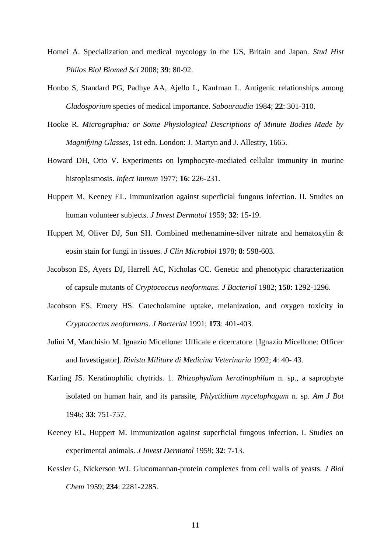- Homei A. Specialization and medical mycology in the US, Britain and Japan. *Stud Hist Philos Biol Biomed Sci* 2008; **39**: 80-92.
- Honbo S, Standard PG, Padhye AA, Ajello L, Kaufman L. Antigenic relationships among *Cladosporium* species of medical importance. *Sabouraudia* 1984; **22**: 301-310.
- Hooke R. *Micrographia: or Some Physiological Descriptions of Minute Bodies Made by Magnifying Glasses*, 1st edn. London: J. Martyn and J. Allestry, 1665.
- Howard DH, Otto V. Experiments on lymphocyte-mediated cellular immunity in murine histoplasmosis. *Infect Immun* 1977; **16**: 226-231.
- Huppert M, Keeney EL. Immunization against superficial fungous infection. II. Studies on human volunteer subjects. *J Invest Dermatol* 1959; **32**: 15-19.
- Huppert M, Oliver DJ, Sun SH. Combined methenamine-silver nitrate and hematoxylin & eosin stain for fungi in tissues. *J Clin Microbiol* 1978; **8**: 598-603.
- Jacobson ES, Ayers DJ, Harrell AC, Nicholas CC. Genetic and phenotypic characterization of capsule mutants of *Cryptococcus neoformans*. *J Bacteriol* 1982; **150**: 1292-1296.
- Jacobson ES, Emery HS. Catecholamine uptake, melanization, and oxygen toxicity in *Cryptococcus neoformans*. *J Bacteriol* 1991; **173**: 401-403.
- Julini M, Marchisio M. Ignazio Micellone: Ufficale e ricercatore. [Ignazio Micellone: Officer and Investigator]. *Rivista Militare di Medicina Veterinaria* 1992; **4**: 40- 43.
- Karling JS. Keratinophilic chytrids. 1. *Rhizophydium keratinophilum* n. sp., a saprophyte isolated on human hair, and its parasite, *Phlyctidium mycetophagum* n. sp. *Am J Bot* 1946; **33**: 751-757.
- Keeney EL, Huppert M. Immunization against superficial fungous infection. I. Studies on experimental animals. *J Invest Dermatol* 1959; **32**: 7-13.
- Kessler G, Nickerson WJ. Glucomannan-protein complexes from cell walls of yeasts. *J Biol Chem* 1959; **234**: 2281-2285.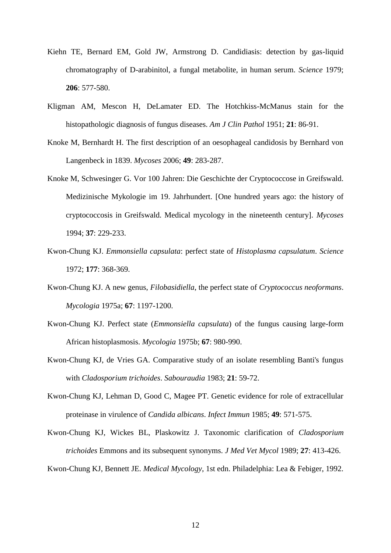- Kiehn TE, Bernard EM, Gold JW, Armstrong D. Candidiasis: detection by gas-liquid chromatography of D-arabinitol, a fungal metabolite, in human serum. *Science* 1979; **206**: 577-580.
- Kligman AM, Mescon H, DeLamater ED. The Hotchkiss-McManus stain for the histopathologic diagnosis of fungus diseases. *Am J Clin Pathol* 1951; **21**: 86-91.
- Knoke M, Bernhardt H. The first description of an oesophageal candidosis by Bernhard von Langenbeck in 1839. *Mycoses* 2006; **49**: 283-287.
- Knoke M, Schwesinger G. Vor 100 Jahren: Die Geschichte der Cryptococcose in Greifswald. Medizinische Mykologie im 19. Jahrhundert. [One hundred years ago: the history of cryptococcosis in Greifswald. Medical mycology in the nineteenth century]. *Mycoses* 1994; **37**: 229-233.
- Kwon-Chung KJ. *Emmonsiella capsulata*: perfect state of *Histoplasma capsulatum*. *Science* 1972; **177**: 368-369.
- Kwon-Chung KJ. A new genus, *Filobasidiella*, the perfect state of *Cryptococcus neoformans*. *Mycologia* 1975a; **67**: 1197-1200.
- Kwon-Chung KJ. Perfect state (*Emmonsiella capsulata*) of the fungus causing large-form African histoplasmosis. *Mycologia* 1975b; **67**: 980-990.
- Kwon-Chung KJ, de Vries GA. Comparative study of an isolate resembling Banti's fungus with *Cladosporium trichoides*. *Sabouraudia* 1983; **21**: 59-72.
- Kwon-Chung KJ, Lehman D, Good C, Magee PT. Genetic evidence for role of extracellular proteinase in virulence of *Candida albicans*. *Infect Immun* 1985; **49**: 571-575.
- Kwon-Chung KJ, Wickes BL, Plaskowitz J. Taxonomic clarification of *Cladosporium trichoides* Emmons and its subsequent synonyms. *J Med Vet Mycol* 1989; **27**: 413-426.

Kwon-Chung KJ, Bennett JE. *Medical Mycology*, 1st edn. Philadelphia: Lea & Febiger, 1992.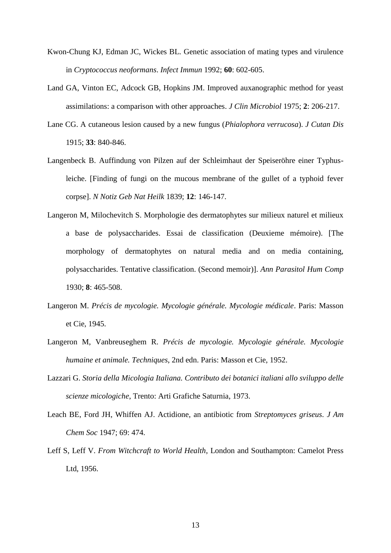- Kwon-Chung KJ, Edman JC, Wickes BL. Genetic association of mating types and virulence in *Cryptococcus neoformans*. *Infect Immun* 1992; **60**: 602-605.
- Land GA, Vinton EC, Adcock GB, Hopkins JM. Improved auxanographic method for yeast assimilations: a comparison with other approaches. *J Clin Microbiol* 1975; **2**: 206-217.
- Lane CG. A cutaneous lesion caused by a new fungus (*Phialophora verrucosa*). *J Cutan Dis* 1915; **33**: 840-846.
- Langenbeck B. Auffindung von Pilzen auf der Schleimhaut der Speiseröhre einer Typhusleiche. [Finding of fungi on the mucous membrane of the gullet of a typhoid fever corpse]. *N Notiz Geb Nat Heilk* 1839; **12**: 146-147.
- Langeron M, Milochevitch S. Morphologie des dermatophytes sur milieux naturel et milieux a base de polysaccharides. Essai de classification (Deuxieme mémoire). [The morphology of dermatophytes on natural media and on media containing, polysaccharides. Tentative classification. (Second memoir)]. *Ann Parasitol Hum Comp*  1930; **8**: 465-508.
- Langeron M. *Précis de mycologie. Mycologie générale. Mycologie médicale*. Paris: Masson et Cie, 1945.
- Langeron M, Vanbreuseghem R. *Précis de mycologie. Mycologie générale. Mycologie humaine et animale. Techniques*, 2nd edn. Paris: Masson et Cie, 1952.
- Lazzari G. *Storia della Micologia Italiana. Contributo dei botanici italiani allo sviluppo delle scienze micologiche*, Trento: Arti Grafiche Saturnia, 1973.
- Leach BE, Ford JH, Whiffen AJ. Actidione, an antibiotic from *Streptomyces griseus*. *J Am Chem Soc* 1947; 69: 474.
- Leff S, Leff V. *From Witchcraft to World Health*, London and Southampton: Camelot Press Ltd, 1956.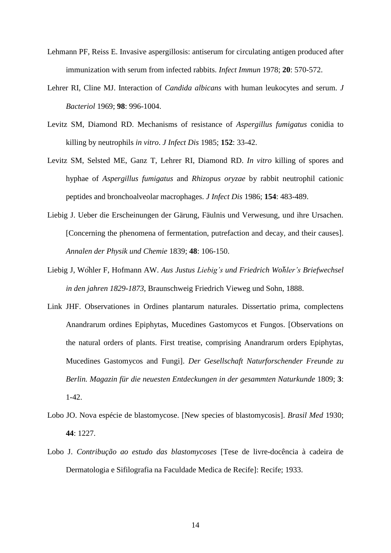- Lehmann PF, Reiss E. Invasive aspergillosis: antiserum for circulating antigen produced after immunization with serum from infected rabbits. *Infect Immun* 1978; **20**: 570-572.
- Lehrer RI, Cline MJ. Interaction of *Candida albicans* with human leukocytes and serum. *J Bacteriol* 1969; **98**: 996-1004.
- Levitz SM, Diamond RD. Mechanisms of resistance of *Aspergillus fumigatus* conidia to killing by neutrophils *in vitro*. *J Infect Dis* 1985; **152**: 33-42.
- Levitz SM, Selsted ME, Ganz T, Lehrer RI, Diamond RD. *In vitro* killing of spores and hyphae of *Aspergillus fumigatus* and *Rhizopus oryzae* by rabbit neutrophil cationic peptides and bronchoalveolar macrophages. *J Infect Dis* 1986; **154**: 483-489.
- Liebig J. Ueber die Erscheinungen der Gärung, Fäulnis und Verwesung, und ihre Ursachen. [Concerning the phenomena of fermentation, putrefaction and decay, and their causes]. *Annalen der Physik und Chemie* 1839; **48**: 106-150.
- Liebig J, Wöhler F, Hofmann AW. *Aus Justus Liebig's und Friedrich Wo*̈*hler's Briefwechsel in den jahren 1829-1873*, Braunschweig Friedrich Vieweg und Sohn, 1888.
- Link JHF. Observationes in Ordines plantarum naturales. Dissertatio prima, complectens Anandrarum ordines Epiphytas, Mucedines Gastomycos et Fungos. [Observations on the natural orders of plants. First treatise, comprising Anandrarum orders Epiphytas, Mucedines Gastomycos and Fungi]. *Der Gesellschaft Naturforschender Freunde zu Berlin. Magazin für die neuesten Entdeckungen in der gesammten Naturkunde* 1809; **3**: 1-42.
- Lobo JO. Nova espécie de blastomycose. [New species of blastomycosis]. *Brasil Med* 1930; **44**: 1227.
- Lobo J. *Contribução ao estudo das blastomycoses* [Tese de livre-docência à cadeira de Dermatologia e Sifilografia na Faculdade Medica de Recife]: Recife; 1933.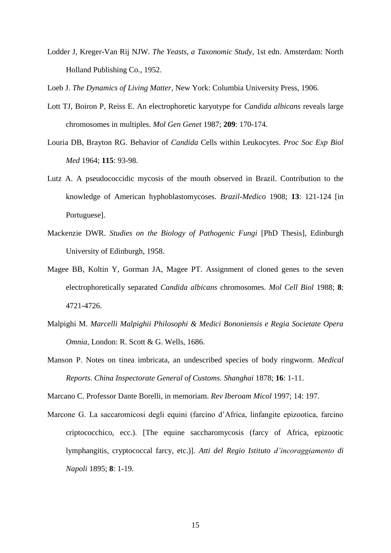Lodder J, Kreger-Van Rij NJW. *The Yeasts, a Taxonomic Study*, 1st edn. Amsterdam: North Holland Publishing Co., 1952.

Loeb J. *The Dynamics of Living Matter*, New York: Columbia University Press, 1906.

- Lott TJ, Boiron P, Reiss E. An electrophoretic karyotype for *Candida albicans* reveals large chromosomes in multiples. *Mol Gen Genet* 1987; **209**: 170-174.
- Louria DB, Brayton RG. Behavior of *Candida* Cells within Leukocytes. *Proc Soc Exp Biol Med* 1964; **115**: 93-98.
- Lutz A. A pseudococcidic mycosis of the mouth observed in Brazil. Contribution to the knowledge of American hyphoblastomycoses. *Brazil-Medico* 1908; **13**: 121-124 [in Portuguese].
- Mackenzie DWR. *Studies on the Biology of Pathogenic Fungi* [PhD Thesis], Edinburgh University of Edinburgh, 1958.
- Magee BB, Koltin Y, Gorman JA, Magee PT. Assignment of cloned genes to the seven electrophoretically separated *Candida albicans* chromosomes. *Mol Cell Biol* 1988; **8**: 4721-4726.
- Malpighi M. *Marcelli Malpighii Philosophi & Medici Bononiensis e Regia Societate Opera Omnia*, London: R. Scott & G. Wells, 1686.
- Manson P. Notes on tinea imbricata, an undescribed species of body ringworm. *Medical Reports. China Inspectorate General of Customs. Shanghai* 1878; **16**: 1-11.

Marcano C. Professor Dante Borelli, in memoriam. *Rev Iberoam Micol* 1997; 14: 197.

Marcone G. La saccaromicosi degli equini (farcino d'Africa, linfangite epizootica, farcino criptococchico, ecc.). [The equine saccharomycosis (farcy of Africa, epizootic lymphangitis, cryptococcal farcy, etc.)]. *Atti del Regio Istituto d'incoraggiamento di Napoli* 1895; **8**: 1-19.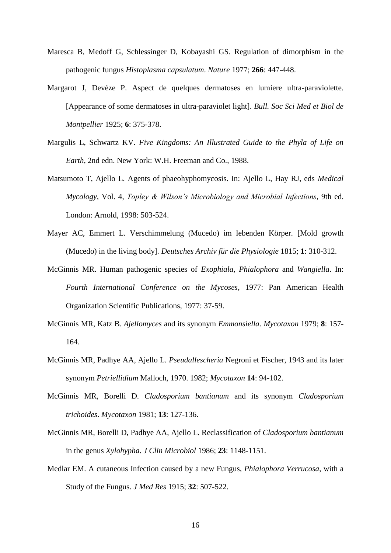- Maresca B, Medoff G, Schlessinger D, Kobayashi GS. Regulation of dimorphism in the pathogenic fungus *Histoplasma capsulatum*. *Nature* 1977; **266**: 447-448.
- Margarot J, Devèze P. Aspect de quelques dermatoses en lumiere ultra-paraviolette. [Appearance of some dermatoses in ultra-paraviolet light]. *Bull. Soc Sci Med et Biol de Montpellier* 1925; **6**: 375-378.
- Margulis L, Schwartz KV. *Five Kingdoms: An Illustrated Guide to the Phyla of Life on Earth*, 2nd edn. New York: W.H. Freeman and Co., 1988.
- Matsumoto T, Ajello L. Agents of phaeohyphomycosis. In: Ajello L, Hay RJ, eds *Medical Mycology,* Vol. 4, *Topley & Wilson's Microbiology and Microbial Infections*, 9th ed. London: Arnold, 1998: 503-524.
- Mayer AC, Emmert L. Verschimmelung (Mucedo) im lebenden Körper. [Mold growth (Mucedo) in the living body]. *Deutsches Archiv für die Physiologie* 1815; **1**: 310-312.
- McGinnis MR. Human pathogenic species of *Exophiala, Phialophora* and *Wangiella*. In: *Fourth International Conference on the Mycoses*, 1977: Pan American Health Organization Scientific Publications, 1977: 37-59.
- McGinnis MR, Katz B. *Ajellomyces* and its synonym *Emmonsiella*. *Mycotaxon* 1979; **8**: 157- 164.
- McGinnis MR, Padhye AA, Ajello L. *Pseudallescheria* Negroni et Fischer, 1943 and its later synonym *Petriellidium* Malloch, 1970. 1982; *Mycotaxon* **14**: 94-102.
- McGinnis MR, Borelli D. *Cladosporium bantianum* and its synonym *Cladosporium trichoides*. *Mycotaxon* 1981; **13**: 127-136.
- McGinnis MR, Borelli D, Padhye AA, Ajello L. Reclassification of *Cladosporium bantianum* in the genus *Xylohypha*. *J Clin Microbiol* 1986; **23**: 1148-1151.
- Medlar EM. A cutaneous Infection caused by a new Fungus, *Phialophora Verrucosa*, with a Study of the Fungus. *J Med Res* 1915; **32**: 507-522.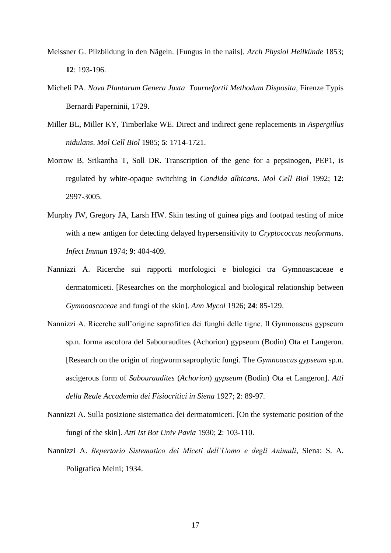- Meissner G. Pilzbildung in den Nägeln. [Fungus in the nails]. *Arch Physiol Heilkünde* 1853; **12**: 193-196.
- Micheli PA. *Nova Plantarum Genera Juxta Tournefortii Methodum Disposita*, Firenze Typis Bernardi Paperninii, 1729.
- Miller BL, Miller KY, Timberlake WE. Direct and indirect gene replacements in *Aspergillus nidulans*. *Mol Cell Biol* 1985; **5**: 1714-1721.
- Morrow B, Srikantha T, Soll DR. Transcription of the gene for a pepsinogen, PEP1, is regulated by white-opaque switching in *Candida albicans*. *Mol Cell Biol* 1992; **12**: 2997-3005.
- Murphy JW, Gregory JA, Larsh HW. Skin testing of guinea pigs and footpad testing of mice with a new antigen for detecting delayed hypersensitivity to *Cryptococcus neoformans*. *Infect Immun* 1974; **9**: 404-409.
- Nannizzi A. Ricerche sui rapporti morfologici e biologici tra Gymnoascaceae e dermatomiceti. [Researches on the morphological and biological relationship between *Gymnoascaceae* and fungi of the skin]. *Ann Mycol* 1926; **24**: 85-129.
- Nannizzi A. Ricerche sull'origine saprofitica dei funghi delle tigne. Il Gymnoascus gypseum sp.n. forma ascofora del Sabouraudites (Achorion) gypseum (Bodin) Ota et Langeron. [Research on the origin of ringworm saprophytic fungi. The *Gymnoascus gypseum* sp.n. ascigerous form of *Sabouraudites* (*Achorion*) *gypseum* (Bodin) Ota et Langeron]. *Atti della Reale Accademia dei Fisiocritici in Siena* 1927; **2**: 89-97.
- Nannizzi A. Sulla posizione sistematica dei dermatomiceti. [On the systematic position of the fungi of the skin]. *Atti Ist Bot Univ Pavia* 1930; **2**: 103-110.
- Nannizzi A. *Repertorio Sistematico dei Miceti dell'Uomo e degli Animali*, Siena: S. A. Poligrafica Meini; 1934.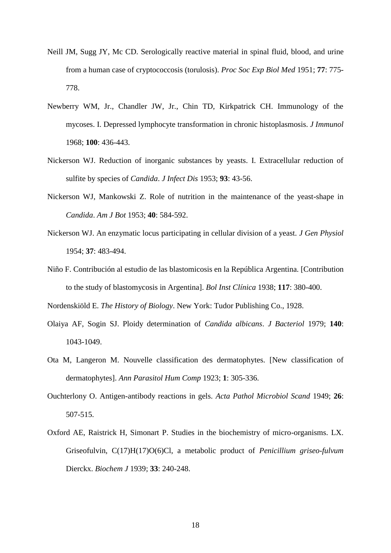- Neill JM, Sugg JY, Mc CD. Serologically reactive material in spinal fluid, blood, and urine from a human case of cryptococcosis (torulosis). *Proc Soc Exp Biol Med* 1951; **77**: 775- 778.
- Newberry WM, Jr., Chandler JW, Jr., Chin TD, Kirkpatrick CH. Immunology of the mycoses. I. Depressed lymphocyte transformation in chronic histoplasmosis. *J Immunol* 1968; **100**: 436-443.
- Nickerson WJ. Reduction of inorganic substances by yeasts. I. Extracellular reduction of sulfite by species of *Candida*. *J Infect Dis* 1953; **93**: 43-56.
- Nickerson WJ, Mankowski Z. Role of nutrition in the maintenance of the yeast-shape in *Candida*. *Am J Bot* 1953; **40**: 584-592.
- Nickerson WJ. An enzymatic locus participating in cellular division of a yeast. *J Gen Physiol*  1954; **37**: 483-494.
- Niño F. Contribución al estudio de las blastomicosis en la República Argentina. [Contribution to the study of blastomycosis in Argentina]. *Bol Inst Clínica* 1938; **117**: 380-400.

Nordenskiöld E. *The History of Biology*. New York: Tudor Publishing Co., 1928.

- Olaiya AF, Sogin SJ. Ploidy determination of *Candida albicans*. *J Bacteriol* 1979; **140**: 1043-1049.
- Ota M, Langeron M. Nouvelle classification des dermatophytes. [New classification of dermatophytes]. *Ann Parasitol Hum Comp* 1923; **1**: 305-336.
- Ouchterlony O. Antigen-antibody reactions in gels. *Acta Pathol Microbiol Scand* 1949; **26**: 507-515.
- Oxford AE, Raistrick H, Simonart P. Studies in the biochemistry of micro-organisms. LX. Griseofulvin, C(17)H(17)O(6)Cl, a metabolic product of *Penicillium griseo-fulvum* Dierckx. *Biochem J* 1939; **33**: 240-248.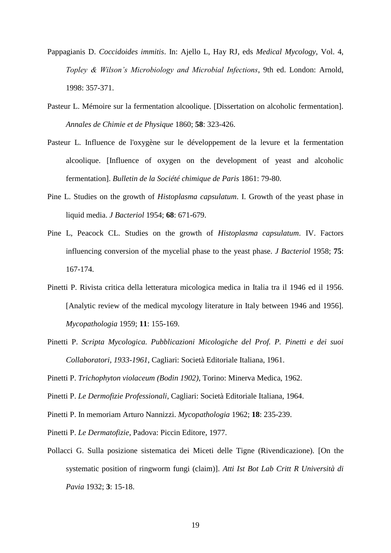- Pappagianis D. *Coccidoides immitis*. In: Ajello L, Hay RJ, eds *Medical Mycology,* Vol. 4, *Topley & Wilson's Microbiology and Microbial Infections*, 9th ed. London: Arnold, 1998: 357-371.
- Pasteur L. Mémoire sur la fermentation alcoolique. [Dissertation on alcoholic fermentation]. *Annales de Chimie et de Physique* 1860; **58**: 323-426.
- Pasteur L. Influence de l'oxygène sur le développement de la levure et la fermentation alcoolique. [Influence of oxygen on the development of yeast and alcoholic fermentation]. *Bulletin de la Société chimique de Paris* 1861: 79-80.
- Pine L. Studies on the growth of *Histoplasma capsulatum*. I. Growth of the yeast phase in liquid media. *J Bacteriol* 1954; **68**: 671-679.
- Pine L, Peacock CL. Studies on the growth of *Histoplasma capsulatum*. IV. Factors influencing conversion of the mycelial phase to the yeast phase. *J Bacteriol* 1958; **75**: 167-174.
- Pinetti P. Rivista critica della letteratura micologica medica in Italia tra il 1946 ed il 1956. [Analytic review of the medical mycology literature in Italy between 1946 and 1956]. *Mycopathologia* 1959; **11**: 155-169.
- Pinetti P. *Scripta Mycologica. Pubblicazioni Micologiche del Prof. P. Pinetti e dei suoi Collaboratori, 1933-1961*, Cagliari: Società Editoriale Italiana, 1961.
- Pinetti P. *Trichophyton violaceum (Bodin 1902)*, Torino: Minerva Medica, 1962.
- Pinetti P. *Le Dermofizie Professionali*, Cagliari: Società Editoriale Italiana, 1964.
- Pinetti P. In memoriam Arturo Nannizzi. *Mycopathologia* 1962; **18**: 235-239.
- Pinetti P. *Le Dermatofizie*, Padova: Piccin Editore, 1977.
- Pollacci G. Sulla posizione sistematica dei Miceti delle Tigne (Rivendicazione). [On the systematic position of ringworm fungi (claim)]. *Atti Ist Bot Lab Critt R Università di Pavia* 1932; **3**: 15-18.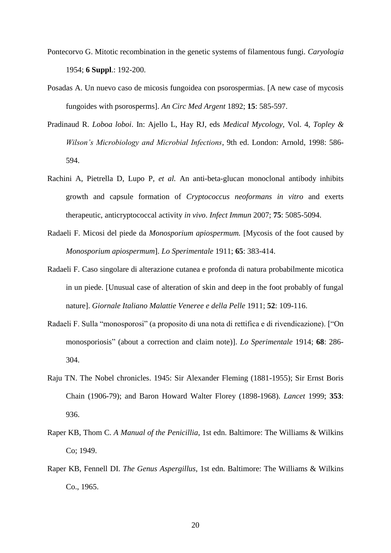- Pontecorvo G. Mitotic recombination in the genetic systems of filamentous fungi. *Caryologia* 1954; **6 Suppl**.: 192-200.
- Posadas A. Un nuevo caso de micosis fungoidea con psorospermias. [A new case of mycosis fungoides with psorosperms]. *An Circ Med Argent* 1892; **15**: 585-597.
- Pradinaud R. *Loboa loboi*. In: Ajello L, Hay RJ, eds *Medical Mycology,* Vol. 4, *Topley & Wilson's Microbiology and Microbial Infections*, 9th ed. London: Arnold, 1998: 586- 594.
- Rachini A, Pietrella D, Lupo P*, et al.* An anti-beta-glucan monoclonal antibody inhibits growth and capsule formation of *Cryptococcus neoformans in vitro* and exerts therapeutic, anticryptococcal activity *in vivo*. *Infect Immun* 2007; **75**: 5085-5094.
- Radaeli F. Micosi del piede da *Monosporium apiospermum.* [Mycosis of the foot caused by *Monosporium apiospermum*]. *Lo Sperimentale* 1911; **65**: 383-414.
- Radaeli F. Caso singolare di alterazione cutanea e profonda di natura probabilmente micotica in un piede. [Unusual case of alteration of skin and deep in the foot probably of fungal nature]. *Giornale Italiano Malattie Veneree e della Pelle* 1911; **52**: 109-116.
- Radaeli F. Sulla "monosporosi" (a proposito di una nota di rettifica e di rivendicazione). ["On monosporiosis" (about a correction and claim note)]. *Lo Sperimentale* 1914; **68**: 286- 304.
- Raju TN. The Nobel chronicles. 1945: Sir Alexander Fleming (1881-1955); Sir Ernst Boris Chain (1906-79); and Baron Howard Walter Florey (1898-1968). *Lancet* 1999; **353**: 936.
- Raper KB, Thom C. *A Manual of the Penicillia*, 1st edn. Baltimore: The Williams & Wilkins Co; 1949.
- Raper KB, Fennell DI. *The Genus Aspergillus*, 1st edn. Baltimore: The Williams & Wilkins Co., 1965.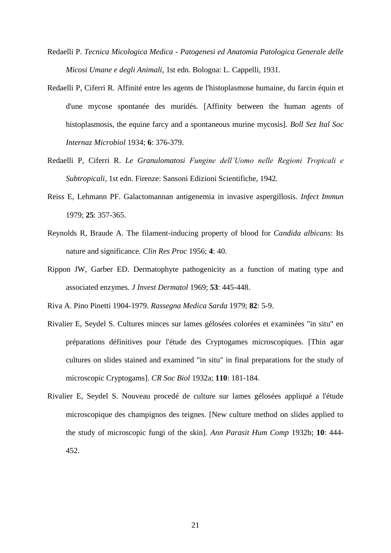- Redaelli P. *Tecnica Micologica Medica - Patogenesi ed Anatomia Patologica Generale delle Micosi Umane e degli Animali*, 1st edn. Bologna: L. Cappelli, 1931.
- Redaelli P, Ciferri R. Affinité entre les agents de l'histoplasmose humaine, du farcin équin et d'une mycose spontanée des muridés. [Affinity between the human agents of histoplasmosis, the equine farcy and a spontaneous murine mycosis]. *Boll Sez Ital Soc Internaz Microbiol* 1934; **6**: 376-379.
- Redaelli P, Ciferri R. *Le Granulomatosi Fungine dell'Uomo nelle Regioni Tropicali e Subtropicali*, 1st edn. Firenze: Sansoni Edizioni Scientifiche, 1942.
- Reiss E, Lehmann PF. Galactomannan antigenemia in invasive aspergillosis. *Infect Immun* 1979; **25**: 357-365.
- Reynolds R, Braude A. The filament-inducing property of blood for *Candida albicans*: Its nature and significance. *Clin Res Proc* 1956; **4**: 40.
- Rippon JW, Garber ED. Dermatophyte pathogenicity as a function of mating type and associated enzymes. *J Invest Dermatol* 1969; **53**: 445-448.

Riva A. Pino Pinetti 1904-1979. *Rassegna Medica Sarda* 1979; **82**: 5-9.

- Rivalier E, Seydel S. Cultures minces sur lames gélosées colorées et examinées "in situ" en préparations définitives pour l'étude des Cryptogames microscopiques. [Thin agar cultures on slides stained and examined "in situ" in final preparations for the study of microscopic Cryptogams]. *CR Soc Biol* 1932a; **110**: 181-184.
- Rivalier E, Seydel S. Nouveau procedé de culture sur lames gélosées appliqué a l'étude microscopique des champignos des teignes. [New culture method on slides applied to the study of microscopic fungi of the skin]. *Ann Parasit Hum Comp* 1932b; **10**: 444- 452.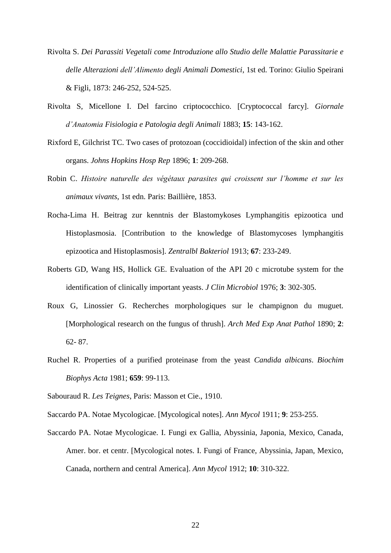- Rivolta S. *Dei Parassiti Vegetali come Introduzione allo Studio delle Malattie Parassitarie e delle Alterazioni dell'Alimento degli Animali Domestici*, 1st ed. Torino: Giulio Speirani & Figli, 1873: 246-252, 524-525.
- Rivolta S, Micellone I. Del farcino criptococchico. [Cryptococcal farcy]. *Giornale d'Anatomia Fisiologia e Patologia degli Animali* 1883; **15**: 143-162.
- Rixford E, Gilchrist TC. Two cases of protozoan (coccidioidal) infection of the skin and other organs. *Johns Hopkins Hosp Rep* 1896; **1**: 209-268.
- Robin C. *Histoire naturelle des végétaux parasites qui croissent sur l'homme et sur les animaux vivants*, 1st edn. Paris: Baillière, 1853.
- Rocha-Lima H. Beitrag zur kenntnis der Blastomykoses Lymphangitis epizootica und Histoplasmosia. [Contribution to the knowledge of Blastomycoses lymphangitis epizootica and Histoplasmosis]. *Zentralbl Bakteriol* 1913; **67**: 233-249.
- Roberts GD, Wang HS, Hollick GE. Evaluation of the API 20 c microtube system for the identification of clinically important yeasts. *J Clin Microbiol* 1976; **3**: 302-305.
- Roux G, Linossier G. Recherches morphologiques sur le champignon du muguet. [Morphological research on the fungus of thrush]. *Arch Med Exp Anat Pathol* 1890; **2**: 62- 87.
- Ruchel R. Properties of a purified proteinase from the yeast *Candida albicans*. *Biochim Biophys Acta* 1981; **659**: 99-113.
- Sabouraud R. *Les Teignes*, Paris: Masson et Cie., 1910.
- Saccardo PA. Notae Mycologicae. [Mycological notes]. *Ann Mycol* 1911; **9**: 253-255.
- Saccardo PA. Notae Mycologicae. I. Fungi ex Gallia, Abyssinia, Japonia, Mexico, Canada, Amer. bor. et centr. [Mycological notes. I. Fungi of France, Abyssinia, Japan, Mexico, Canada, northern and central America]. *Ann Mycol* 1912; **10**: 310-322.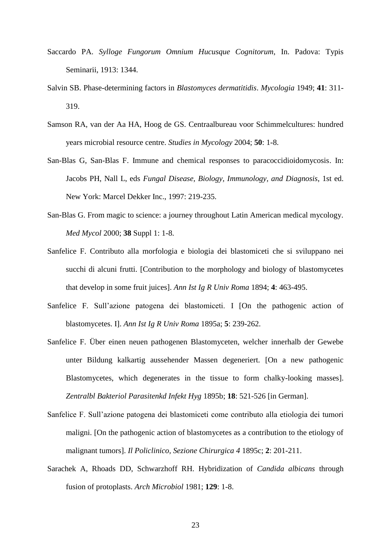- Saccardo PA. *Sylloge Fungorum Omnium Hucusque Cognitorum*, In. Padova: Typis Seminarii, 1913: 1344.
- Salvin SB. Phase-determining factors in *Blastomyces dermatitidis*. *Mycologia* 1949; **41**: 311- 319.
- Samson RA, van der Aa HA, Hoog de GS. Centraalbureau voor Schimmelcultures: hundred years microbial resource centre. *Studies in Mycology* 2004; **50**: 1-8.
- San-Blas G, San-Blas F. Immune and chemical responses to paracoccidioidomycosis. In: Jacobs PH, Nall L, eds *Fungal Disease, Biology, Immunology, and Diagnosis*, 1st ed. New York: Marcel Dekker Inc., 1997: 219-235.
- San-Blas G. From magic to science: a journey throughout Latin American medical mycology. *Med Mycol* 2000; **38** Suppl 1: 1-8.
- Sanfelice F. Contributo alla morfologia e biologia dei blastomiceti che si sviluppano nei succhi di alcuni frutti. [Contribution to the morphology and biology of blastomycetes that develop in some fruit juices]. *Ann Ist Ig R Univ Roma* 1894; **4**: 463-495.
- Sanfelice F. Sull'azione patogena dei blastomiceti. I [On the pathogenic action of blastomycetes. I]. *Ann Ist Ig R Univ Roma* 1895a; **5**: 239-262.
- Sanfelice F. Über einen neuen pathogenen Blastomyceten, welcher innerhalb der Gewebe unter Bildung kalkartig aussehender Massen degeneriert. [On a new pathogenic Blastomycetes, which degenerates in the tissue to form chalky-looking masses]. *Zentralbl Bakteriol Parasitenkd Infekt Hyg* 1895b; **18**: 521-526 [in German].
- Sanfelice F. Sull'azione patogena dei blastomiceti come contributo alla etiologia dei tumori maligni. [On the pathogenic action of blastomycetes as a contribution to the etiology of malignant tumors]. *Il Policlinico, Sezione Chirurgica 4* 1895c; **2**: 201-211.
- Sarachek A, Rhoads DD, Schwarzhoff RH. Hybridization of *Candida albicans* through fusion of protoplasts. *Arch Microbiol* 1981; **129**: 1-8.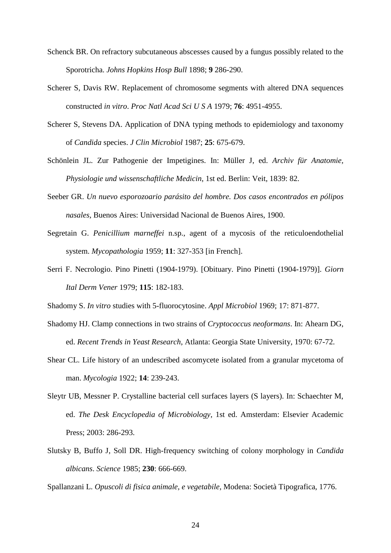- Schenck BR. On refractory subcutaneous abscesses caused by a fungus possibly related to the Sporotricha. *Johns Hopkins Hosp Bull* 1898; **9** 286-290.
- Scherer S, Davis RW. Replacement of chromosome segments with altered DNA sequences constructed *in vitro*. *Proc Natl Acad Sci U S A* 1979; **76**: 4951-4955.
- Scherer S, Stevens DA. Application of DNA typing methods to epidemiology and taxonomy of *Candida* species. *J Clin Microbiol* 1987; **25**: 675-679.
- Schönlein JL. Zur Pathogenie der Impetigines. In: Müller J, ed. *Archiv für Anatomie, Physiologie und wissenschaftliche Medicin*, 1st ed. Berlin: Veit, 1839: 82.
- Seeber GR. *Un nuevo esporozoario parásito del hombre. Dos casos encontrados en pólipos nasales*, Buenos Aires: Universidad Nacional de Buenos Aires, 1900.
- Segretain G. *Penicillium marneffei* n.sp., agent of a mycosis of the reticuloendothelial system. *Mycopathologia* 1959; **11**: 327-353 [in French].
- Serri F. Necrologio. Pino Pinetti (1904-1979). [Obituary. Pino Pinetti (1904-1979)]. *Giorn Ital Derm Vener* 1979; **115**: 182-183.
- Shadomy S. *In vitro* studies with 5-fluorocytosine. *Appl Microbiol* 1969; 17: 871-877.
- Shadomy HJ. Clamp connections in two strains of *Cryptococcus neoformans*. In: Ahearn DG, ed. *Recent Trends in Yeast Research*, Atlanta: Georgia State University, 1970: 67-72.
- Shear CL. Life history of an undescribed ascomycete isolated from a granular mycetoma of man. *Mycologia* 1922; **14**: 239-243.
- Sleytr UB, Messner P. Crystalline bacterial cell surfaces layers (S layers). In: Schaechter M, ed. *The Desk Encyclopedia of Microbiology*, 1st ed. Amsterdam: Elsevier Academic Press; 2003: 286-293.
- Slutsky B, Buffo J, Soll DR. High-frequency switching of colony morphology in *Candida albicans*. *Science* 1985; **230**: 666-669.

Spallanzani L. *Opuscoli di fisica animale, e vegetabile*, Modena: Società Tipografica, 1776.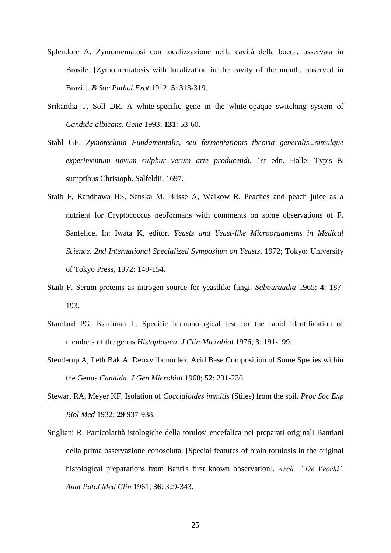- Splendore A. Zymomematosi con localizzazione nella cavità della bocca, osservata in Brasile. [Zymomematosis with localization in the cavity of the mouth, observed in Brazil]. *B Soc Pathol Exot* 1912; **5**: 313-319.
- Srikantha T, Soll DR. A white-specific gene in the white-opaque switching system of *Candida albicans*. *Gene* 1993; **131**: 53-60.
- Stahl GE. *Zymotechnia Fundamentalis, seu fermentationis theoria generalis...simulque experimentum novum sulphur verum arte producendi*, 1st edn. Halle: Typis & sumptibus Christoph. Salfeldii, 1697.
- Staib F, Randhawa HS, Senska M, Blisse A, Walkow R. Peaches and peach juice as a nutrient for Cryptococcus neoformans with comments on some observations of F. Sanfelice. In: Iwata K, editor. *Yeasts and Yeast-like Microorganisms in Medical Science. 2nd International Specialized Symposium on Yeasts*, 1972; Tokyo: University of Tokyo Press, 1972: 149-154.
- Staib F. Serum-proteins as nitrogen source for yeastlike fungi. *Sabouraudia* 1965; **4**: 187- 193.
- Standard PG, Kaufman L. Specific immunological test for the rapid identification of members of the genus *Histoplasma*. *J Clin Microbiol* 1976; **3**: 191-199.
- Stenderup A, Leth Bak A. Deoxyribonucleic Acid Base Composition of Some Species within the Genus *Candida*. *J Gen Microbiol* 1968; **52**: 231-236.
- Stewart RA, Meyer KF. Isolation of *Coccidioides immitis* (Stiles) from the soil. *Proc Soc Exp Biol Med* 1932; **29** 937-938.
- Stigliani R. Particolarità istologiche della torulosi encefalica nei preparati originali Bantiani della prima osservazione conosciuta. [Special features of brain torulosis in the original histological preparations from Banti's first known observation]. *Arch "De Vecchi" Anat Patol Med Clin* 1961; **36**: 329-343.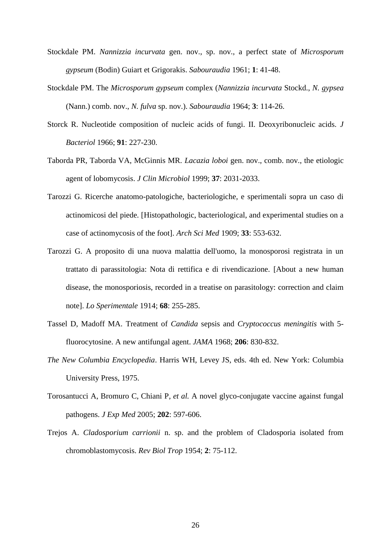- Stockdale PM. *Nannizzia incurvata* gen. nov., sp. nov., a perfect state of *Microsporum gypseum* (Bodin) Guiart et Grigorakis. *Sabouraudia* 1961; **1**: 41-48.
- Stockdale PM. The *Microsporum gypseum* complex (*Nannizzia incurvata* Stockd., *N. gypsea* (Nann.) comb. nov., *N. fulva* sp. nov.). *Sabouraudia* 1964; **3**: 114-26.
- Storck R. Nucleotide composition of nucleic acids of fungi. II. Deoxyribonucleic acids. *J Bacteriol* 1966; **91**: 227-230.
- Taborda PR, Taborda VA, McGinnis MR. *Lacazia loboi* gen. nov., comb. nov., the etiologic agent of lobomycosis. *J Clin Microbiol* 1999; **37**: 2031-2033.
- Tarozzi G. Ricerche anatomo-patologiche, bacteriologiche, e sperimentali sopra un caso di actinomicosi del piede. [Histopathologic, bacteriological, and experimental studies on a case of actinomycosis of the foot]. *Arch Sci Med* 1909; **33**: 553-632.
- Tarozzi G. A proposito di una nuova malattia dell'uomo, la monosporosi registrata in un trattato di parassitologia: Nota di rettifica e di rivendicazione. [About a new human disease, the monosporiosis, recorded in a treatise on parasitology: correction and claim note]. *Lo Sperimentale* 1914; **68**: 255-285.
- Tassel D, Madoff MA. Treatment of *Candida* sepsis and *Cryptococcus meningitis* with 5 fluorocytosine. A new antifungal agent. *JAMA* 1968; **206**: 830-832.
- *The New Columbia Encyclopedia*. Harris WH, Levey JS, eds. 4th ed. New York: Columbia University Press, 1975.
- Torosantucci A, Bromuro C, Chiani P*, et al.* A novel glyco-conjugate vaccine against fungal pathogens. *J Exp Med* 2005; **202**: 597-606.
- Trejos A. *Cladosporium carrionii* n. sp. and the problem of Cladosporia isolated from chromoblastomycosis. *Rev Biol Trop* 1954; **2**: 75-112.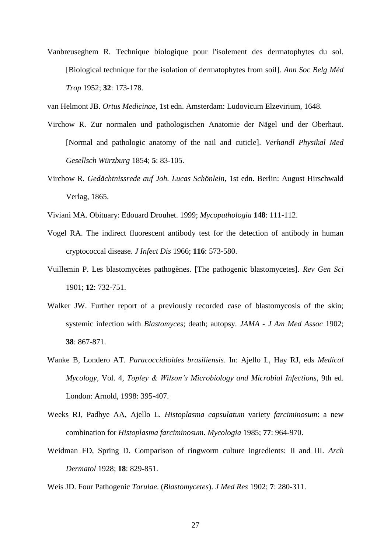Vanbreuseghem R. Technique biologique pour l'isolement des dermatophytes du sol. [Biological technique for the isolation of dermatophytes from soil]. *Ann Soc Belg Méd Trop* 1952; **32**: 173-178.

van Helmont JB. *Ortus Medicinae*, 1st edn. Amsterdam: Ludovicum Elzevirium, 1648.

- Virchow R. Zur normalen und pathologischen Anatomie der Nägel und der Oberhaut. [Normal and pathologic anatomy of the nail and cuticle]. *Verhandl Physikal Med Gesellsch Würzburg* 1854; **5**: 83-105.
- Virchow R. *Gedächtnissrede auf Joh. Lucas Schönlein*, 1st edn. Berlin: August Hirschwald Verlag, 1865.
- Viviani MA. Obituary: Edouard Drouhet. 1999; *Mycopathologia* **148**: 111-112.
- Vogel RA. The indirect fluorescent antibody test for the detection of antibody in human cryptococcal disease. *J Infect Dis* 1966; **116**: 573-580.
- Vuillemin P. Les blastomycètes pathogènes. [The pathogenic blastomycetes]. *Rev Gen Sci*  1901; **12**: 732-751.
- Walker JW. Further report of a previously recorded case of blastomycosis of the skin; systemic infection with *Blastomyces*; death; autopsy. *JAMA - J Am Med Assoc* 1902; **38**: 867-871.
- Wanke B, Londero AT. *Paracoccidioides brasiliensis*. In: Ajello L, Hay RJ, eds *Medical Mycology,* Vol. 4, *Topley & Wilson's Microbiology and Microbial Infections*, 9th ed. London: Arnold, 1998: 395-407.
- Weeks RJ, Padhye AA, Ajello L. *Histoplasma capsulatum* variety *farciminosum*: a new combination for *Histoplasma farciminosum*. *Mycologia* 1985; **77**: 964-970.
- Weidman FD, Spring D. Comparison of ringworm culture ingredients: II and III. *Arch Dermatol* 1928; **18**: 829-851.
- Weis JD. Four Pathogenic *Torulae*. (*Blastomycetes*). *J Med Res* 1902; **7**: 280-311.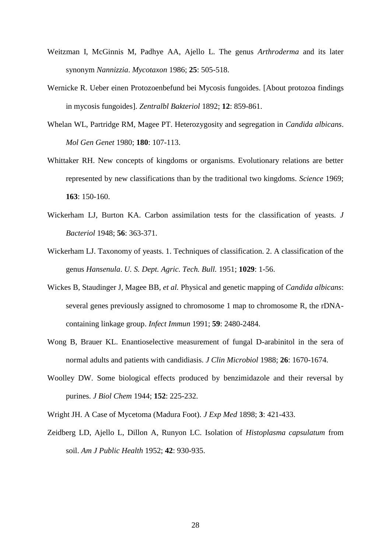- Weitzman I, McGinnis M, Padhye AA, Ajello L. The genus *Arthroderma* and its later synonym *Nannizzia*. *Mycotaxon* 1986; **25**: 505-518.
- Wernicke R. Ueber einen Protozoenbefund bei Mycosis fungoides. [About protozoa findings in mycosis fungoides]. *Zentralbl Bakteriol* 1892; **12**: 859-861.
- Whelan WL, Partridge RM, Magee PT. Heterozygosity and segregation in *Candida albicans*. *Mol Gen Genet* 1980; **180**: 107-113.
- Whittaker RH. New concepts of kingdoms or organisms. Evolutionary relations are better represented by new classifications than by the traditional two kingdoms. *Science* 1969; **163**: 150-160.
- Wickerham LJ, Burton KA. Carbon assimilation tests for the classification of yeasts. *J Bacteriol* 1948; **56**: 363-371.
- Wickerham LJ. Taxonomy of yeasts. 1. Techniques of classification. 2. A classification of the genus *Hansenula*. *U. S. Dept. Agric. Tech. Bull.* 1951; **1029**: 1-56.
- Wickes B, Staudinger J, Magee BB*, et al.* Physical and genetic mapping of *Candida albicans*: several genes previously assigned to chromosome 1 map to chromosome R, the rDNAcontaining linkage group. *Infect Immun* 1991; **59**: 2480-2484.
- Wong B, Brauer KL. Enantioselective measurement of fungal D-arabinitol in the sera of normal adults and patients with candidiasis. *J Clin Microbiol* 1988; **26**: 1670-1674.
- Woolley DW. Some biological effects produced by benzimidazole and their reversal by purines. *J Biol Chem* 1944; **152**: 225-232.
- Wright JH. A Case of Mycetoma (Madura Foot). *J Exp Med* 1898; **3**: 421-433.
- Zeidberg LD, Ajello L, Dillon A, Runyon LC. Isolation of *Histoplasma capsulatum* from soil. *Am J Public Health* 1952; **42**: 930-935.